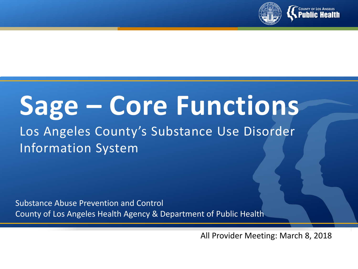

# **Sage – Core Functions**

# Los Angeles County's Substance Use Disorder Information System

Substance Abuse Prevention and Control County of Los Angeles Health Agency & Department of Public Health

All Provider Meeting: March 8, 2018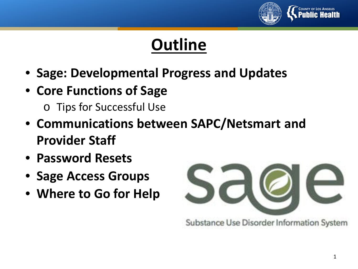

# **Outline**

- **Sage: Developmental Progress and Updates**
- **Core Functions of Sage**
	- o Tips for Successful Use
- **Communications between SAPC/Netsmart and Provider Staff**
- **Password Resets**
- **Sage Access Groups**
- **Where to Go for Help**



Substance Use Disorder Information System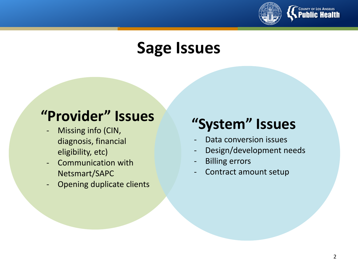

# **Sage Issues**

# **"System" Issues "Provider" Issues**

- Missing info (CIN, diagnosis, financial eligibility, etc)
- Communication with Netsmart/SAPC
- Opening duplicate clients

- Data conversion issues
- Design/development needs
- **Billing errors**
- Contract amount setup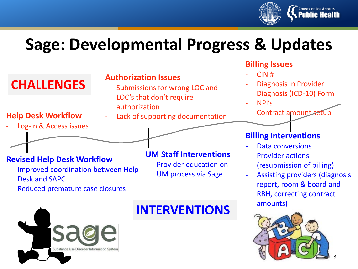

# **Sage: Developmental Progress & Updates**

#### **CHALLENGES Billing Issues**  $CIN$ # - Diagnosis in Provider Diagnosis (ICD-10) Form - NPI's Contract amount setup **Authorization Issues** Submissions for wrong LOC and LOC's that don't require authorization **Help Desk Workflow** - Lack of supporting documentation Log-in & Access issues **Revised Help Desk Workflow Billing Interventions** Data conversions Provider actions **UM Staff Interventions**

- Improved coordination between Help Desk and SAPC
- Reduced premature case closures



Provider education on UM process via Sage

### **INTERVENTIONS**

- (resubmission of billing)
- Assisting providers (diagnosis report, room & board and RBH, correcting contract amounts)

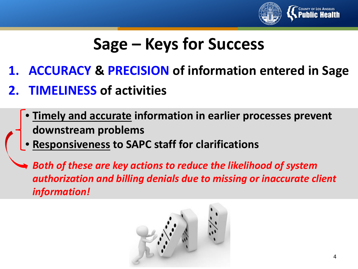

# **Sage – Keys for Success**

- **1. ACCURACY & PRECISION of information entered in Sage**
- **2. TIMELINESS of activities**
	- **Timely and accurate information in earlier processes prevent downstream problems**
	- **Responsiveness to SAPC staff for clarifications**
	- *Both of these are key actions to reduce the likelihood of system authorization and billing denials due to missing or inaccurate client information!*

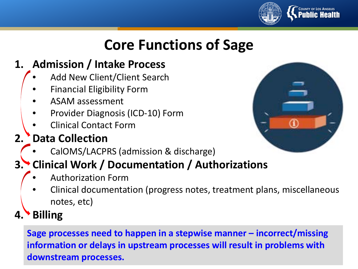

# **Core Functions of Sage**

### **1. Admission / Intake Process**

- Add New Client/Client Search
- Financial Eligibility Form
- ASAM assessment
- Provider Diagnosis (ICD-10) Form
- Clinical Contact Form

## **2. Data Collection**

• CalOMS/LACPRS (admission & discharge)

## **3. Clinical Work / Documentation / Authorizations**

- Authorization Form
- Clinical documentation (progress notes, treatment plans, miscellaneous notes, etc)

**4. Billing**

**Sage processes need to happen in a stepwise manner – incorrect/missing information or delays in upstream processes will result in problems with downstream processes.**

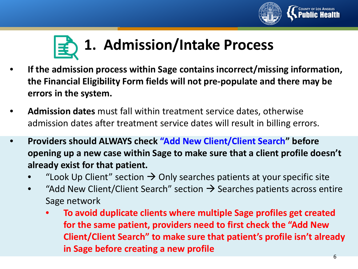



- **If the admission process within Sage contains incorrect/missing information, the Financial Eligibility Form fields will not pre-populate and there may be errors in the system.**
- **Admission dates** must fall within treatment service dates, otherwise admission dates after treatment service dates will result in billing errors.
- **Providers should ALWAYS check "Add New Client/Client Search" before opening up a new case within Sage to make sure that a client profile doesn't already exist for that patient.**
	- "Look Up Client" section  $\rightarrow$  Only searches patients at your specific site
	- "Add New Client/Client Search" section  $\rightarrow$  Searches patients across entire Sage network
		- **To avoid duplicate clients where multiple Sage profiles get created for the same patient, providers need to first check the "Add New Client/Client Search" to make sure that patient's profile isn't already in Sage before creating a new profile**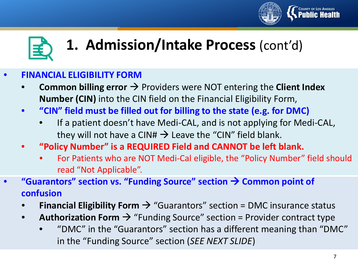



# **1. Admission/Intake Process** (cont'd)

#### • **FINANCIAL ELIGIBILITY FORM**

- **Common billing error**  $\rightarrow$  **Providers were NOT entering the Client Index Number (CIN)** into the CIN field on the Financial Eligibility Form,
- **"CIN" field must be filled out for billing to the state (e.g. for DMC)**
	- If a patient doesn't have Medi-CAL, and is not applying for Medi-CAL, they will not have a CIN#  $\rightarrow$  Leave the "CIN" field blank.
- **"Policy Number" is a REQUIRED Field and CANNOT be left blank.** 
	- For Patients who are NOT Medi-Cal eligible, the "Policy Number" field should read "Not Applicable".
- **"Guarantors" section vs. "Funding Source" section**  $\rightarrow$  **Common point of confusion**
	- **Financial Eligibility Form**  $\rightarrow$  **"Guarantors" section = DMC insurance status**
	- **Authorization Form**  $\rightarrow$  **"Funding Source" section = Provider contract type** 
		- "DMC" in the "Guarantors" section has a different meaning than "DMC" in the "Funding Source" section (*SEE NEXT SLIDE*)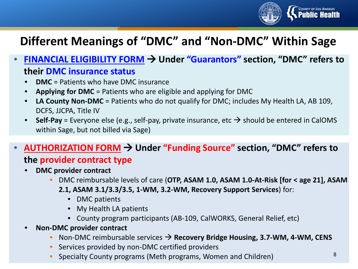

## **Different Meanings of "DMC" and "Non-DMC" Within Sage**

- **FINANCIAL ELIGIBILITY FORM Under "Guarantors" section, "DMC" refers to their DMC insurance status**
	- **DMC** = Patients who have DMC insurance
	- **Applying for DMC** = Patients who are eligible and applying for DMC
	- **LA County Non-DMC** = Patients who do not qualify for DMC; includes My Health LA, AB 109, DCFS, JJCPA, Title IV
	- **Self-Pay** = Everyone else (e.g., self-pay, private insurance, etc  $\rightarrow$  should be entered in CalOMS within Sage, but not billed via Sage)

#### • **AUTHORIZATION FORM Under "Funding Source" section, "DMC" refers to the provider contract type**

- **DMC provider contract**
	- DMC reimbursable levels of care (**OTP, ASAM 1.0, ASAM 1.0-At-Risk [for < age 21], ASAM 2.1, ASAM 3.1/3.3/3.5, 1-WM, 3.2-WM, Recovery Support Services**) for:
		- DMC patients
		- My Health LA patients
		- County program participants (AB-109, CalWORKS, General Relief, etc)
- **Non-DMC provider contract**
	- Non-DMC reimbursable services **Recovery Bridge Housing, 3.7-WM, 4-WM, CENS**
	- Services provided by non-DMC certified providers
	- Specialty County programs (Meth programs, Women and Children) <sup>8</sup>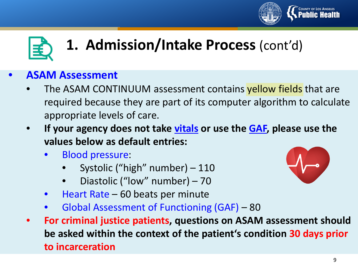



# **1. Admission/Intake Process** (cont'd)

#### • **ASAM Assessment**

- The ASAM CONTINUUM assessment contains yellow fields that are required because they are part of its computer algorithm to calculate appropriate levels of care.
- **If your agency does not take vitals or use the GAF, please use the values below as default entries:**
	- Blood pressure:
		- Systolic ("high" number) 110
		- Diastolic ("low" number) 70
	- Heart Rate 60 beats per minute
	- Global Assessment of Functioning (GAF) 80
- **For criminal justice patients, questions on ASAM assessment should be asked within the context of the patient's condition 30 days prior to incarceration**

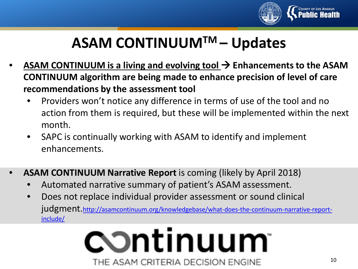

# **ASAM CONTINUUMTM – Updates**

- **ASAM CONTINUUM is a living and evolving tool > Enhancements to the ASAM CONTINUUM algorithm are being made to enhance precision of level of care recommendations by the assessment tool**
	- Providers won't notice any difference in terms of use of the tool and no action from them is required, but these will be implemented within the next month.
	- SAPC is continually working with ASAM to identify and implement enhancements.
- **ASAM CONTINUUM Narrative Report** is coming (likely by April 2018)
	- Automated narrative summary of patient's ASAM assessment.
	- Does not replace individual provider assessment or sound clinical [judgment.http://asamcontinuum.org/knowledgebase/what-does-the-continuum-narrative-report](http://asamcontinuum.org/knowledgebase/what-does-the-continuum-narrative-report-include/)include/

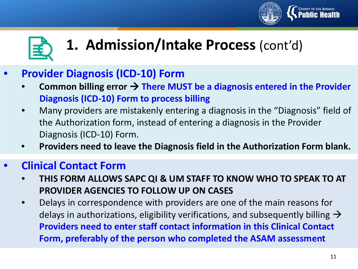



# **1. Admission/Intake Process** (cont'd)

### • **Provider Diagnosis (ICD-10) Form**

- Common billing error → There MUST be a diagnosis entered in the Provider **Diagnosis (ICD-10) Form to process billing**
- Many providers are mistakenly entering a diagnosis in the "Diagnosis" field of the Authorization form, instead of entering a diagnosis in the Provider Diagnosis (ICD-10) Form.
- **Providers need to leave the Diagnosis field in the Authorization Form blank.**

#### • **Clinical Contact Form**

- **THIS FORM ALLOWS SAPC QI & UM STAFF TO KNOW WHO TO SPEAK TO AT PROVIDER AGENCIES TO FOLLOW UP ON CASES**
- Delays in correspondence with providers are one of the main reasons for delays in authorizations, eligibility verifications, and subsequently billing  $\rightarrow$ **Providers need to enter staff contact information in this Clinical Contact Form, preferably of the person who completed the ASAM assessment**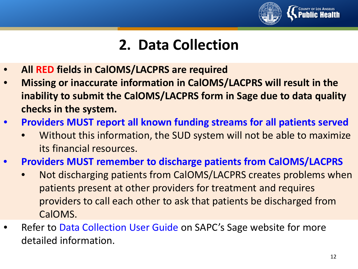

# **2. Data Collection**

- **All RED fields in CalOMS/LACPRS are required**
- **Missing or inaccurate information in CalOMS/LACPRS will result in the inability to submit the CalOMS/LACPRS form in Sage due to data quality checks in the system.**
- **Providers MUST report all known funding streams for all patients served**
	- Without this information, the SUD system will not be able to maximize its financial resources.
- **Providers MUST remember to discharge patients from CalOMS/LACPRS**
	- Not discharging patients from CalOMS/LACPRS creates problems when patients present at other providers for treatment and requires providers to call each other to ask that patients be discharged from CalOMS.
- Refer to Data Collection User Guide on SAPC's Sage website for more detailed information.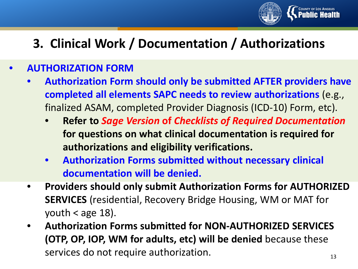

# **3. Clinical Work / Documentation / Authorizations**

#### • **AUTHORIZATION FORM**

- **Authorization Form should only be submitted AFTER providers have completed all elements SAPC needs to review authorizations** (e.g., finalized ASAM, completed Provider Diagnosis (ICD-10) Form, etc).
	- **Refer to** *Sage Version* **of** *Checklists of Required Documentation*  **for questions on what clinical documentation is required for authorizations and eligibility verifications.**
	- **Authorization Forms submitted without necessary clinical documentation will be denied.**
- **Providers should only submit Authorization Forms for AUTHORIZED SERVICES** (residential, Recovery Bridge Housing, WM or MAT for youth  $<$  age 18).
- 13 • **Authorization Forms submitted for NON-AUTHORIZED SERVICES (OTP, OP, IOP, WM for adults, etc) will be denied** because these services do not require authorization.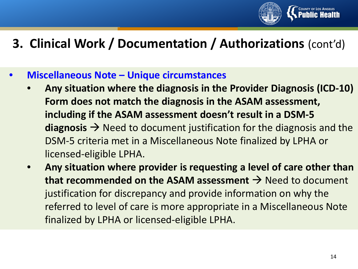

## **3. Clinical Work / Documentation / Authorizations** (cont'd)

- **Miscellaneous Note – Unique circumstances** 
	- **Any situation where the diagnosis in the Provider Diagnosis (ICD-10) Form does not match the diagnosis in the ASAM assessment, including if the ASAM assessment doesn't result in a DSM-5 diagnosis**  $\rightarrow$  Need to document justification for the diagnosis and the DSM-5 criteria met in a Miscellaneous Note finalized by LPHA or licensed-eligible LPHA.
	- **Any situation where provider is requesting a level of care other than**  that recommended on the ASAM assessment  $\rightarrow$  Need to document justification for discrepancy and provide information on why the referred to level of care is more appropriate in a Miscellaneous Note finalized by LPHA or licensed-eligible LPHA.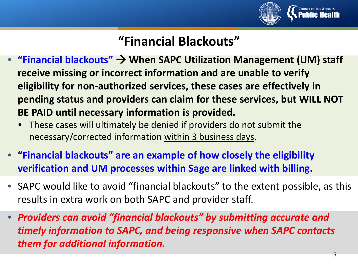

# **"Financial Blackouts"**

- **"Financial blackouts" When SAPC Utilization Management (UM) staff receive missing or incorrect information and are unable to verify eligibility for non-authorized services, these cases are effectively in pending status and providers can claim for these services, but WILL NOT BE PAID until necessary information is provided.**
	- These cases will ultimately be denied if providers do not submit the necessary/corrected information within 3 business days.
- **"Financial blackouts" are an example of how closely the eligibility verification and UM processes within Sage are linked with billing.**
- SAPC would like to avoid "financial blackouts" to the extent possible, as this results in extra work on both SAPC and provider staff.
- *Providers can avoid "financial blackouts" by submitting accurate and timely information to SAPC, and being responsive when SAPC contacts them for additional information.*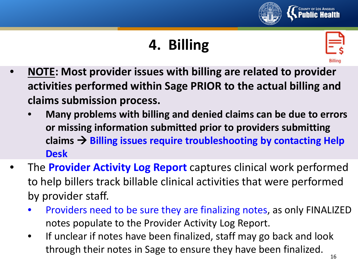

# **4. Billing**



- **NOTE: Most provider issues with billing are related to provider activities performed within Sage PRIOR to the actual billing and claims submission process.**
	- **Many problems with billing and denied claims can be due to errors or missing information submitted prior to providers submitting**  claims  $\rightarrow$  Billing issues require troubleshooting by contacting Help **Desk**
- The **Provider Activity Log Report** captures clinical work performed to help billers track billable clinical activities that were performed by provider staff.
	- Providers need to be sure they are finalizing notes, as only FINALIZED notes populate to the Provider Activity Log Report.
	- If unclear if notes have been finalized, staff may go back and look through their notes in Sage to ensure they have been finalized.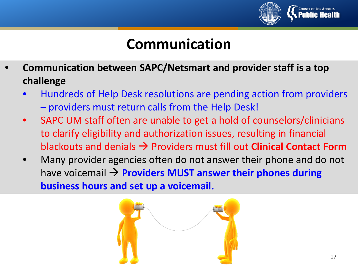

# **Communication**

- **Communication between SAPC/Netsmart and provider staff is a top challenge** 
	- Hundreds of Help Desk resolutions are pending action from providers – providers must return calls from the Help Desk!
	- SAPC UM staff often are unable to get a hold of counselors/clinicians to clarify eligibility and authorization issues, resulting in financial blackouts and denials Providers must fill out **Clinical Contact Form**
	- Many provider agencies often do not answer their phone and do not have voicemail **Providers MUST answer their phones during business hours and set up a voicemail.**

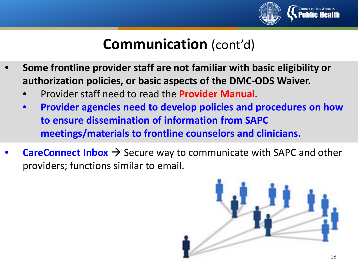

# **Communication** (cont'd)

- **Some frontline provider staff are not familiar with basic eligibility or authorization policies, or basic aspects of the DMC-ODS Waiver.**
	- Provider staff need to read the **Provider Manual**.
	- **Provider agencies need to develop policies and procedures on how to ensure dissemination of information from SAPC meetings/materials to frontline counselors and clinicians.**
- **CareConnect Inbox**  $\rightarrow$  Secure way to communicate with SAPC and other providers; functions similar to email.

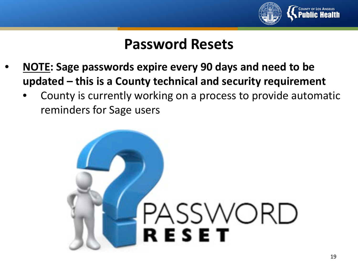

# **Password Resets**

- **NOTE: Sage passwords expire every 90 days and need to be updated – this is a County technical and security requirement**
	- County is currently working on a process to provide automatic reminders for Sage users

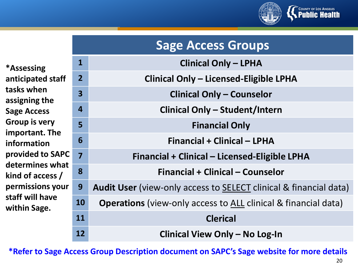

| *Assessing           |
|----------------------|
| anticipated staff    |
| tasks when           |
| assigning the        |
| <b>Sage Access</b>   |
| <b>Group is very</b> |
| important. The       |
| information          |
| provided to SAPC     |
| determines what      |
| kind of access /     |
| permissions your     |
| staff will have      |
| within Sage.         |

| <b>Sage Access Groups</b> |                                                                       |
|---------------------------|-----------------------------------------------------------------------|
| $\mathbf{1}$              | <b>Clinical Only - LPHA</b>                                           |
| $\overline{2}$            | <b>Clinical Only - Licensed-Eligible LPHA</b>                         |
| $\overline{\mathbf{3}}$   | <b>Clinical Only - Counselor</b>                                      |
| $\overline{4}$            | Clinical Only - Student/Intern                                        |
| 5                         | <b>Financial Only</b>                                                 |
| 6                         | Financial + Clinical - LPHA                                           |
| 7                         | Financial + Clinical – Licensed-Eligible LPHA                         |
| 8                         | Financial + Clinical – Counselor                                      |
| 9                         | Audit User (view-only access to SELECT clinical & financial data)     |
| 10                        | <b>Operations</b> (view-only access to ALL clinical & financial data) |
| 11                        | <b>Clerical</b>                                                       |
| 12                        | Clinical View Only - No Log-In                                        |

**\*Refer to Sage Access Group Description document on SAPC's Sage website for more details** <sup>20</sup>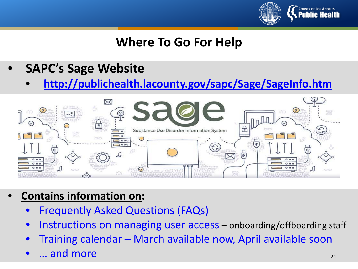

## **Where To Go For Help**

- **SAPC's Sage Website**
	- **<http://publichealth.lacounty.gov/sapc/Sage/SageInfo.htm>**



- **Contains information on:**
	- Frequently Asked Questions (FAQs)
	- Instructions on managing user access onboarding/offboarding staff
	- Training calendar March available now, April available soon
	- ... and more